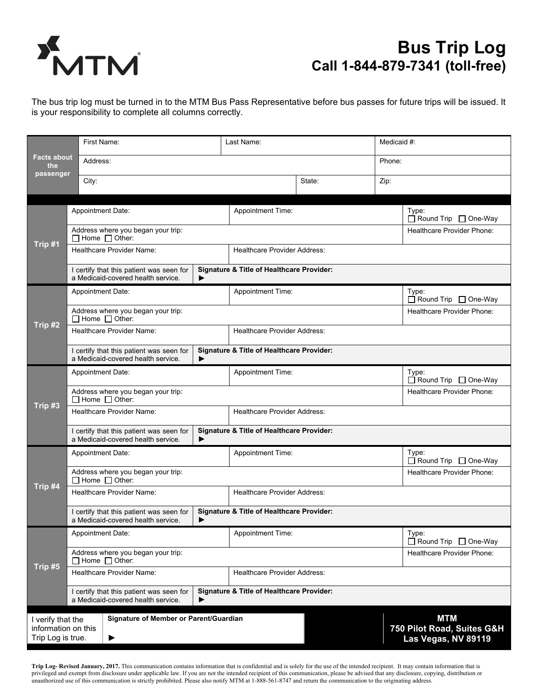

## **Bus Trip Log Call 1-844-879-7341 (toll-free)**

The bus trip log must be turned in to the MTM Bus Pass Representative before bus passes for future trips will be issued. It is your responsibility to complete all columns correctly.

|                                          |                                                                                                                                             | First Name:                                                                                                                                 |                                     | Last Name:                                           |        |                                 | Medicaid #:                                       |  |
|------------------------------------------|---------------------------------------------------------------------------------------------------------------------------------------------|---------------------------------------------------------------------------------------------------------------------------------------------|-------------------------------------|------------------------------------------------------|--------|---------------------------------|---------------------------------------------------|--|
| Facts about<br>the                       | Address:                                                                                                                                    |                                                                                                                                             |                                     |                                                      | Phone: |                                 |                                                   |  |
| passenger                                | City:                                                                                                                                       |                                                                                                                                             |                                     | State:                                               | Zip:   |                                 |                                                   |  |
| Trip #1                                  | <b>Appointment Date:</b>                                                                                                                    |                                                                                                                                             | Appointment Time:                   |                                                      |        | Type:<br>□ Round Trip □ One-Way |                                                   |  |
|                                          |                                                                                                                                             | Address where you began your trip:<br>$\Box$ Home $\Box$ Other:                                                                             |                                     |                                                      |        | Healthcare Provider Phone:      |                                                   |  |
|                                          |                                                                                                                                             | <b>Healthcare Provider Name:</b>                                                                                                            | <b>Healthcare Provider Address:</b> |                                                      |        |                                 |                                                   |  |
| Trip #2                                  | <b>Signature &amp; Title of Healthcare Provider:</b><br>I certify that this patient was seen for<br>a Medicaid-covered health service.<br>▶ |                                                                                                                                             |                                     |                                                      |        |                                 |                                                   |  |
|                                          |                                                                                                                                             | Appointment Date:                                                                                                                           |                                     | <b>Appointment Time:</b>                             |        |                                 | Type:<br>$\Box$ Round Trip $\Box$ One-Way         |  |
|                                          |                                                                                                                                             | Address where you began your trip:<br>$\Box$ Home $\Box$ Other:                                                                             |                                     |                                                      |        | Healthcare Provider Phone:      |                                                   |  |
|                                          |                                                                                                                                             | Healthcare Provider Name:                                                                                                                   | <b>Healthcare Provider Address:</b> |                                                      |        |                                 |                                                   |  |
|                                          |                                                                                                                                             | <b>Signature &amp; Title of Healthcare Provider:</b><br>I certify that this patient was seen for<br>a Medicaid-covered health service.<br>▶ |                                     |                                                      |        |                                 |                                                   |  |
| Trip #3                                  | <b>Appointment Date:</b>                                                                                                                    |                                                                                                                                             | <b>Appointment Time:</b>            |                                                      |        | Type:<br>□ Round Trip □ One-Way |                                                   |  |
|                                          |                                                                                                                                             | Address where you began your trip:<br>$\Box$ Home $\Box$ Other:                                                                             |                                     |                                                      |        | Healthcare Provider Phone:      |                                                   |  |
|                                          |                                                                                                                                             | <b>Healthcare Provider Name:</b>                                                                                                            | <b>Healthcare Provider Address:</b> |                                                      |        |                                 |                                                   |  |
|                                          |                                                                                                                                             | I certify that this patient was seen for<br>a Medicaid-covered health service.                                                              | ▶                                   | <b>Signature &amp; Title of Healthcare Provider:</b> |        |                                 |                                                   |  |
| Trip #4                                  |                                                                                                                                             | <b>Appointment Date:</b>                                                                                                                    |                                     | Appointment Time:                                    |        |                                 | Type:<br>$\Box$ Round Trip $\Box$ One-Way         |  |
|                                          |                                                                                                                                             | Address where you began your trip:<br>$\Box$ Home $\Box$ Other:                                                                             |                                     |                                                      |        | Healthcare Provider Phone:      |                                                   |  |
|                                          |                                                                                                                                             | Healthcare Provider Name:                                                                                                                   |                                     | <b>Healthcare Provider Address:</b>                  |        |                                 |                                                   |  |
|                                          | I certify that this patient was seen for<br>a Medicaid-covered health service.<br>▶                                                         |                                                                                                                                             |                                     | <b>Signature &amp; Title of Healthcare Provider:</b> |        |                                 |                                                   |  |
| Trip #5                                  | <b>Appointment Date:</b>                                                                                                                    |                                                                                                                                             |                                     | <b>Appointment Time:</b>                             |        |                                 | Type:<br>$\Box$ Round Trip $\Box$ One-Way         |  |
|                                          |                                                                                                                                             | Address where you began your trip:<br>$\Box$ Home $\Box$ Other:                                                                             |                                     |                                                      |        | Healthcare Provider Phone:      |                                                   |  |
|                                          |                                                                                                                                             | Healthcare Provider Name:                                                                                                                   | <b>Healthcare Provider Address:</b> |                                                      |        |                                 |                                                   |  |
|                                          | I certify that this patient was seen for<br>a Medicaid-covered health service.<br>▶                                                         |                                                                                                                                             |                                     | <b>Signature &amp; Title of Healthcare Provider:</b> |        |                                 |                                                   |  |
| I verify that the                        |                                                                                                                                             | Signature of Member or Parent/Guardian                                                                                                      |                                     |                                                      |        | <b>MTM</b>                      |                                                   |  |
| information on this<br>Trip Log is true. |                                                                                                                                             | ▶                                                                                                                                           |                                     |                                                      |        |                                 | 750 Pilot Road, Suites G&H<br>Las Vegas, NV 89119 |  |

**Trip Log- Revised January, 2017.** This communication contains information that is confidential and is solely for the use of the intended recipient. It may contain information that is privileged and exempt from disclosure under applicable law. If you are not the intended recipient of this communication, please be advised that any disclosure, copying, distribution or unauthorized use of this communication is strictly prohibited. Please also notify MTM at 1-888-561-8747 and return the communication to the originating address.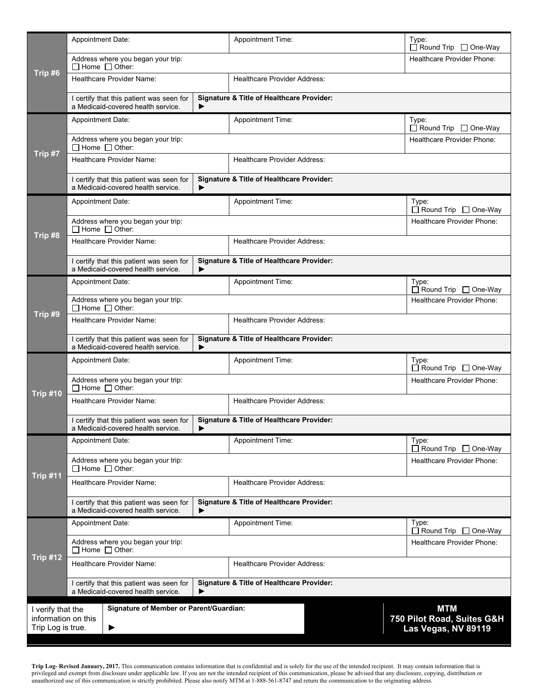|                                                                                               | <b>Appointment Date:</b>                                                            |   | <b>Appointment Time:</b>                             | Type:<br>$\Box$ Round Trip $\Box$ One-Way |  |  |  |  |
|-----------------------------------------------------------------------------------------------|-------------------------------------------------------------------------------------|---|------------------------------------------------------|-------------------------------------------|--|--|--|--|
| Trip #6                                                                                       | Address where you began your trip:<br>$\Box$ Home $\Box$ Other:                     |   |                                                      | Healthcare Provider Phone:                |  |  |  |  |
|                                                                                               | Healthcare Provider Name:                                                           |   | <b>Healthcare Provider Address:</b>                  |                                           |  |  |  |  |
| Trip #7                                                                                       | I certify that this patient was seen for<br>a Medicaid-covered health service.<br>▶ |   | <b>Signature &amp; Title of Healthcare Provider:</b> |                                           |  |  |  |  |
|                                                                                               | <b>Appointment Date:</b>                                                            |   | Appointment Time:                                    | Type:<br>□ Round Trip □ One-Way           |  |  |  |  |
|                                                                                               | Address where you began your trip:<br>$\Box$ Home $\Box$ Other:                     |   |                                                      | <b>Healthcare Provider Phone:</b>         |  |  |  |  |
|                                                                                               | Healthcare Provider Name:                                                           |   | <b>Healthcare Provider Address:</b>                  |                                           |  |  |  |  |
| Trip #8                                                                                       | I certify that this patient was seen for<br>a Medicaid-covered health service.<br>▶ |   | <b>Signature &amp; Title of Healthcare Provider:</b> |                                           |  |  |  |  |
|                                                                                               | Appointment Date:                                                                   |   | Appointment Time:                                    | Type:<br>$\Box$ Round Trip $\Box$ One-Way |  |  |  |  |
|                                                                                               | Address where you began your trip:<br>$\Box$ Home $\Box$ Other:                     |   |                                                      | <b>Healthcare Provider Phone:</b>         |  |  |  |  |
|                                                                                               | Healthcare Provider Name:                                                           |   | <b>Healthcare Provider Address:</b>                  |                                           |  |  |  |  |
| Trip #9                                                                                       | I certify that this patient was seen for<br>a Medicaid-covered health service.      | ▶ | <b>Signature &amp; Title of Healthcare Provider:</b> |                                           |  |  |  |  |
|                                                                                               | Appointment Date:                                                                   |   | Appointment Time:                                    | Type:<br>$\Box$ Round Trip $\Box$ One-Way |  |  |  |  |
|                                                                                               | Address where you began your trip:<br>$\Box$ Home $\Box$ Other:                     |   |                                                      | <b>Healthcare Provider Phone:</b>         |  |  |  |  |
|                                                                                               | Healthcare Provider Name:                                                           |   | <b>Healthcare Provider Address:</b>                  |                                           |  |  |  |  |
|                                                                                               | I certify that this patient was seen for<br>a Medicaid-covered health service.      | ▶ | <b>Signature &amp; Title of Healthcare Provider:</b> |                                           |  |  |  |  |
|                                                                                               | <b>Appointment Date:</b>                                                            |   | <b>Appointment Time:</b>                             | Type:<br>□ Round Trip □ One-Way           |  |  |  |  |
|                                                                                               | Address where you began your trip:<br>$\Box$ Home $\Box$ Other:                     |   |                                                      | <b>Healthcare Provider Phone:</b>         |  |  |  |  |
| <b>Trip #10</b>                                                                               | Healthcare Provider Name:                                                           |   | <b>Healthcare Provider Address:</b>                  |                                           |  |  |  |  |
|                                                                                               | I certify that this patient was seen for<br>a Medicaid-covered health service.<br>▶ |   | <b>Signature &amp; Title of Healthcare Provider:</b> |                                           |  |  |  |  |
|                                                                                               | Appointment Date:                                                                   |   | <b>Appointment Time:</b>                             | Type:<br>$\Box$ Round Trip $\Box$ One-Way |  |  |  |  |
| Trip #11                                                                                      | Address where you began your trip:<br>$\Box$ Home $\Box$ Other:                     |   |                                                      | Healthcare Provider Phone:                |  |  |  |  |
|                                                                                               | Healthcare Provider Name:                                                           |   | <b>Healthcare Provider Address:</b>                  |                                           |  |  |  |  |
|                                                                                               | I certify that this patient was seen for<br>a Medicaid-covered health service.      |   | <b>Signature &amp; Title of Healthcare Provider:</b> |                                           |  |  |  |  |
|                                                                                               | <b>Appointment Date:</b>                                                            |   | <b>Appointment Time:</b>                             | Type:<br>□ Round Trip □ One-Way           |  |  |  |  |
|                                                                                               | Address where you began your trip:<br>$\Box$ Home $\Box$ Other:                     |   |                                                      | <b>Healthcare Provider Phone:</b>         |  |  |  |  |
| Trip #12                                                                                      | Healthcare Provider Name:                                                           |   | <b>Healthcare Provider Address:</b>                  |                                           |  |  |  |  |
|                                                                                               | I certify that this patient was seen for<br>a Medicaid-covered health service.      | ▶ | <b>Signature &amp; Title of Healthcare Provider:</b> |                                           |  |  |  |  |
| <b>MTM</b><br>Signature of Member or Parent/Guardian:<br>I verify that the                    |                                                                                     |   |                                                      |                                           |  |  |  |  |
| 750 Pilot Road, Suites G&H<br>information on this<br>Trip Log is true.<br>Las Vegas, NV 89119 |                                                                                     |   |                                                      |                                           |  |  |  |  |
|                                                                                               |                                                                                     |   |                                                      |                                           |  |  |  |  |

Trip Log-Revised January, 2017. This communication contains information that is confidential and is solely for the use of the intended recipient. It may contain information that is<br>privileged and exempt from disclosure und unauthorized use of this communication is strictly prohibited. Please also notify MTM at 1-888-561-8747 and return the communication to the originating address.